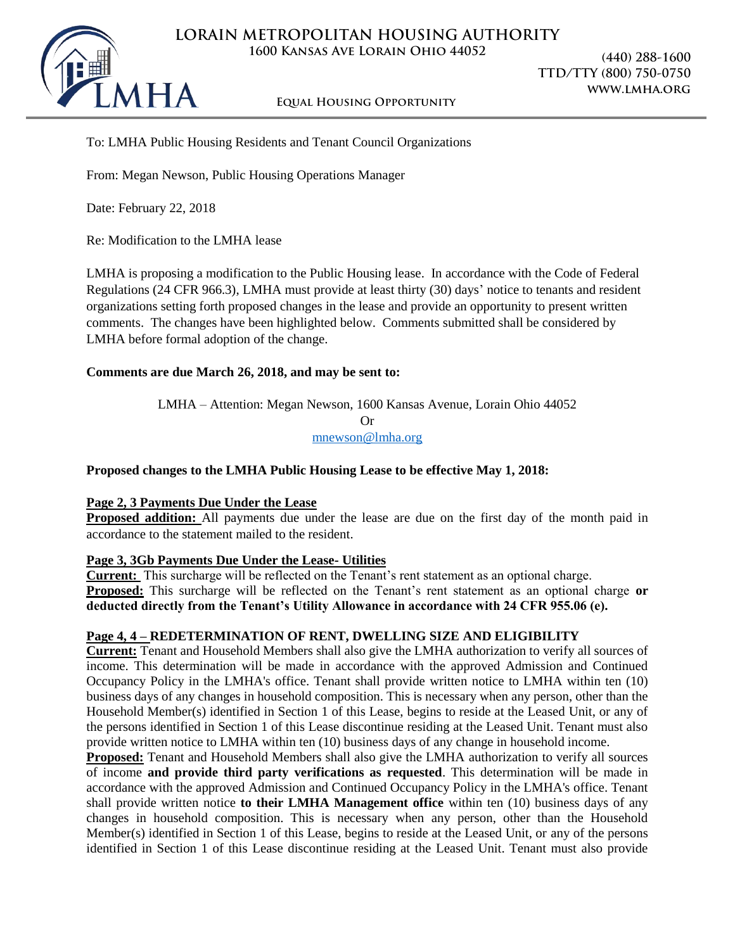

# **Equal Housing Opportunity**

**TTD/TTY (800) 750-0750 www.lmha.org**

# To: LMHA Public Housing Residents and Tenant Council Organizations

From: Megan Newson, Public Housing Operations Manager

Date: February 22, 2018

Re: Modification to the LMHA lease

LMHA is proposing a modification to the Public Housing lease. In accordance with the Code of Federal Regulations (24 CFR 966.3), LMHA must provide at least thirty (30) days' notice to tenants and resident organizations setting forth proposed changes in the lease and provide an opportunity to present written comments. The changes have been highlighted below. Comments submitted shall be considered by LMHA before formal adoption of the change.

# **Comments are due March 26, 2018, and may be sent to:**

LMHA – Attention: Megan Newson, 1600 Kansas Avenue, Lorain Ohio 44052 Or [mnewson@lmha.org](mailto:mnewson@lmha.org)

#### **Proposed changes to the LMHA Public Housing Lease to be effective May 1, 2018:**

#### **Page 2, 3 Payments Due Under the Lease**

**Proposed addition:** All payments due under the lease are due on the first day of the month paid in accordance to the statement mailed to the resident.

#### **Page 3, 3Gb Payments Due Under the Lease- Utilities**

**Current:** This surcharge will be reflected on the Tenant's rent statement as an optional charge. **Proposed:** This surcharge will be reflected on the Tenant's rent statement as an optional charge **or deducted directly from the Tenant's Utility Allowance in accordance with 24 CFR 955.06 (e).**

#### **Page 4, 4 – REDETERMINATION OF RENT, DWELLING SIZE AND ELIGIBILITY**

**Current:** Tenant and Household Members shall also give the LMHA authorization to verify all sources of income. This determination will be made in accordance with the approved Admission and Continued Occupancy Policy in the LMHA's office. Tenant shall provide written notice to LMHA within ten (10) business days of any changes in household composition. This is necessary when any person, other than the Household Member(s) identified in Section 1 of this Lease, begins to reside at the Leased Unit, or any of the persons identified in Section 1 of this Lease discontinue residing at the Leased Unit. Tenant must also provide written notice to LMHA within ten (10) business days of any change in household income.

**Proposed:** Tenant and Household Members shall also give the LMHA authorization to verify all sources of income **and provide third party verifications as requested**. This determination will be made in accordance with the approved Admission and Continued Occupancy Policy in the LMHA's office. Tenant shall provide written notice **to their LMHA Management office** within ten (10) business days of any changes in household composition. This is necessary when any person, other than the Household Member(s) identified in Section 1 of this Lease, begins to reside at the Leased Unit, or any of the persons identified in Section 1 of this Lease discontinue residing at the Leased Unit. Tenant must also provide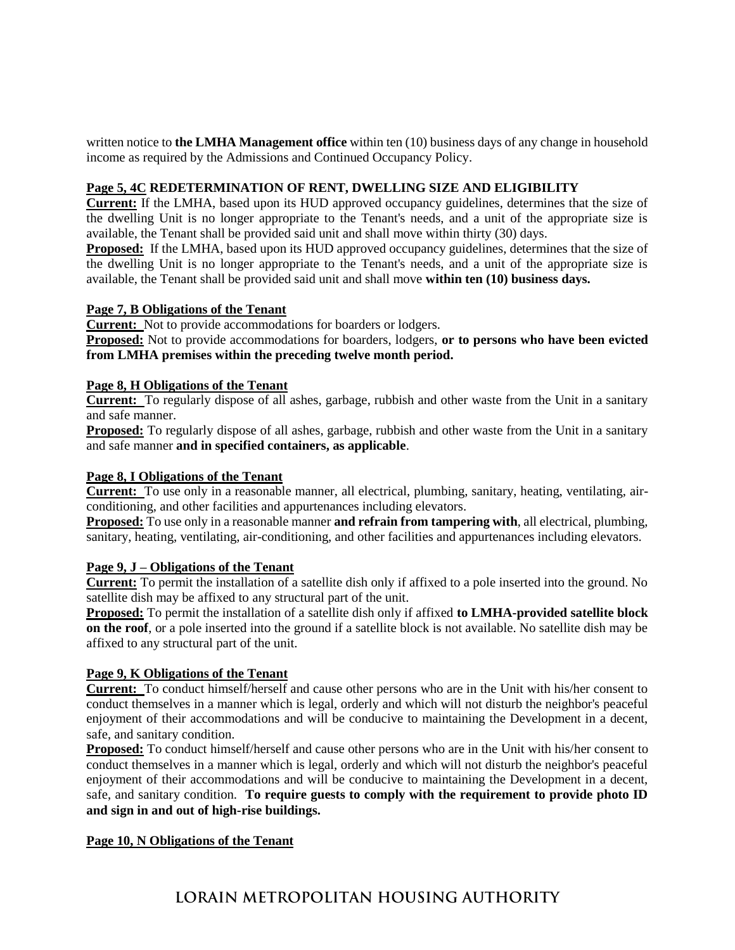written notice to **the LMHA Management office** within ten (10) business days of any change in household income as required by the Admissions and Continued Occupancy Policy.

# **Page 5, 4C REDETERMINATION OF RENT, DWELLING SIZE AND ELIGIBILITY**

**Current:** If the LMHA, based upon its HUD approved occupancy guidelines, determines that the size of the dwelling Unit is no longer appropriate to the Tenant's needs, and a unit of the appropriate size is available, the Tenant shall be provided said unit and shall move within thirty (30) days.

**Proposed:** If the LMHA, based upon its HUD approved occupancy guidelines, determines that the size of the dwelling Unit is no longer appropriate to the Tenant's needs, and a unit of the appropriate size is available, the Tenant shall be provided said unit and shall move **within ten (10) business days.**

#### **Page 7, B Obligations of the Tenant**

**Current:** Not to provide accommodations for boarders or lodgers.

**Proposed:** Not to provide accommodations for boarders, lodgers, **or to persons who have been evicted from LMHA premises within the preceding twelve month period.**

#### **Page 8, H Obligations of the Tenant**

**Current:** To regularly dispose of all ashes, garbage, rubbish and other waste from the Unit in a sanitary and safe manner.

**Proposed:** To regularly dispose of all ashes, garbage, rubbish and other waste from the Unit in a sanitary and safe manner **and in specified containers, as applicable**.

#### **Page 8, I Obligations of the Tenant**

**Current:** To use only in a reasonable manner, all electrical, plumbing, sanitary, heating, ventilating, airconditioning, and other facilities and appurtenances including elevators.

**Proposed:** To use only in a reasonable manner **and refrain from tampering with**, all electrical, plumbing, sanitary, heating, ventilating, air-conditioning, and other facilities and appurtenances including elevators.

#### **Page 9, J – Obligations of the Tenant**

**Current:** To permit the installation of a satellite dish only if affixed to a pole inserted into the ground. No satellite dish may be affixed to any structural part of the unit.

**Proposed:** To permit the installation of a satellite dish only if affixed **to LMHA-provided satellite block on the roof**, or a pole inserted into the ground if a satellite block is not available. No satellite dish may be affixed to any structural part of the unit.

#### **Page 9, K Obligations of the Tenant**

**Current:** To conduct himself/herself and cause other persons who are in the Unit with his/her consent to conduct themselves in a manner which is legal, orderly and which will not disturb the neighbor's peaceful enjoyment of their accommodations and will be conducive to maintaining the Development in a decent, safe, and sanitary condition.

**Proposed:** To conduct himself/herself and cause other persons who are in the Unit with his/her consent to conduct themselves in a manner which is legal, orderly and which will not disturb the neighbor's peaceful enjoyment of their accommodations and will be conducive to maintaining the Development in a decent, safe, and sanitary condition. **To require guests to comply with the requirement to provide photo ID and sign in and out of high-rise buildings.**

#### **Page 10, N Obligations of the Tenant**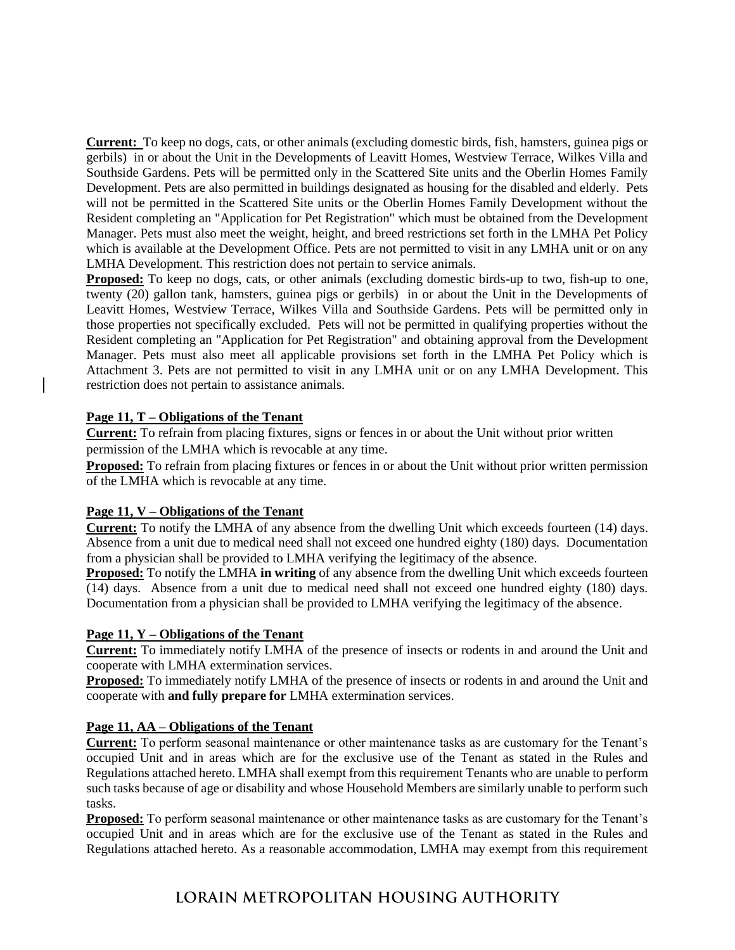**Current:** To keep no dogs, cats, or other animals (excluding domestic birds, fish, hamsters, guinea pigs or gerbils) in or about the Unit in the Developments of Leavitt Homes, Westview Terrace, Wilkes Villa and Southside Gardens. Pets will be permitted only in the Scattered Site units and the Oberlin Homes Family Development. Pets are also permitted in buildings designated as housing for the disabled and elderly. Pets will not be permitted in the Scattered Site units or the Oberlin Homes Family Development without the Resident completing an "Application for Pet Registration" which must be obtained from the Development Manager. Pets must also meet the weight, height, and breed restrictions set forth in the LMHA Pet Policy which is available at the Development Office. Pets are not permitted to visit in any LMHA unit or on any LMHA Development. This restriction does not pertain to service animals.

**Proposed:** To keep no dogs, cats, or other animals (excluding domestic birds-up to two, fish-up to one, twenty (20) gallon tank, hamsters, guinea pigs or gerbils) in or about the Unit in the Developments of Leavitt Homes, Westview Terrace, Wilkes Villa and Southside Gardens. Pets will be permitted only in those properties not specifically excluded. Pets will not be permitted in qualifying properties without the Resident completing an "Application for Pet Registration" and obtaining approval from the Development Manager. Pets must also meet all applicable provisions set forth in the LMHA Pet Policy which is Attachment 3. Pets are not permitted to visit in any LMHA unit or on any LMHA Development. This restriction does not pertain to assistance animals.

# **Page 11, T – Obligations of the Tenant**

**Current:** To refrain from placing fixtures, signs or fences in or about the Unit without prior written permission of the LMHA which is revocable at any time.

**Proposed:** To refrain from placing fixtures or fences in or about the Unit without prior written permission of the LMHA which is revocable at any time.

#### **Page 11, V – Obligations of the Tenant**

**Current:** To notify the LMHA of any absence from the dwelling Unit which exceeds fourteen (14) days. Absence from a unit due to medical need shall not exceed one hundred eighty (180) days. Documentation from a physician shall be provided to LMHA verifying the legitimacy of the absence.

**Proposed:** To notify the LMHA **in writing** of any absence from the dwelling Unit which exceeds fourteen (14) days.Absence from a unit due to medical need shall not exceed one hundred eighty (180) days. Documentation from a physician shall be provided to LMHA verifying the legitimacy of the absence.

# **Page 11, Y – Obligations of the Tenant**

**Current:** To immediately notify LMHA of the presence of insects or rodents in and around the Unit and cooperate with LMHA extermination services.

**Proposed:** To immediately notify LMHA of the presence of insects or rodents in and around the Unit and cooperate with **and fully prepare for** LMHA extermination services.

# **Page 11, AA – Obligations of the Tenant**

**Current:** To perform seasonal maintenance or other maintenance tasks as are customary for the Tenant's occupied Unit and in areas which are for the exclusive use of the Tenant as stated in the Rules and Regulations attached hereto. LMHA shall exempt from this requirement Tenants who are unable to perform such tasks because of age or disability and whose Household Members are similarly unable to perform such tasks.

**Proposed:** To perform seasonal maintenance or other maintenance tasks as are customary for the Tenant's occupied Unit and in areas which are for the exclusive use of the Tenant as stated in the Rules and Regulations attached hereto. As a reasonable accommodation, LMHA may exempt from this requirement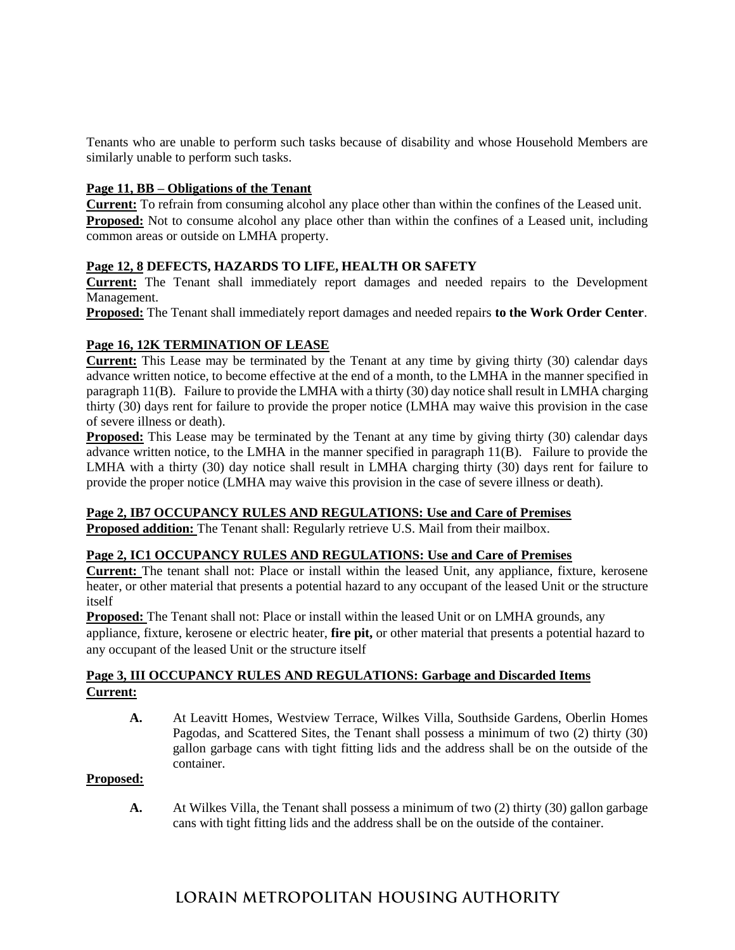Tenants who are unable to perform such tasks because of disability and whose Household Members are similarly unable to perform such tasks.

# **Page 11, BB – Obligations of the Tenant**

**Current:** To refrain from consuming alcohol any place other than within the confines of the Leased unit. **Proposed:** Not to consume alcohol any place other than within the confines of a Leased unit, including common areas or outside on LMHA property.

# **Page 12, 8 DEFECTS, HAZARDS TO LIFE, HEALTH OR SAFETY**

**Current:** The Tenant shall immediately report damages and needed repairs to the Development Management.

**Proposed:** The Tenant shall immediately report damages and needed repairs **to the Work Order Center**.

# **Page 16, 12K TERMINATION OF LEASE**

**Current:** This Lease may be terminated by the Tenant at any time by giving thirty (30) calendar days advance written notice, to become effective at the end of a month, to the LMHA in the manner specified in paragraph 11(B). Failure to provide the LMHA with a thirty (30) day notice shall result in LMHA charging thirty (30) days rent for failure to provide the proper notice (LMHA may waive this provision in the case of severe illness or death).

**Proposed:** This Lease may be terminated by the Tenant at any time by giving thirty (30) calendar days advance written notice, to the LMHA in the manner specified in paragraph 11(B). Failure to provide the LMHA with a thirty (30) day notice shall result in LMHA charging thirty (30) days rent for failure to provide the proper notice (LMHA may waive this provision in the case of severe illness or death).

#### **Page 2, IB7 OCCUPANCY RULES AND REGULATIONS: Use and Care of Premises**

**Proposed addition:** The Tenant shall: Regularly retrieve U.S. Mail from their mailbox.

#### **Page 2, IC1 OCCUPANCY RULES AND REGULATIONS: Use and Care of Premises**

**Current:** The tenant shall not: Place or install within the leased Unit, any appliance, fixture, kerosene heater, or other material that presents a potential hazard to any occupant of the leased Unit or the structure itself

**Proposed:** The Tenant shall not: Place or install within the leased Unit or on LMHA grounds, any appliance, fixture, kerosene or electric heater, **fire pit,** or other material that presents a potential hazard to any occupant of the leased Unit or the structure itself

# **Page 3, III OCCUPANCY RULES AND REGULATIONS: Garbage and Discarded Items Current:**

**A.** At Leavitt Homes, Westview Terrace, Wilkes Villa, Southside Gardens, Oberlin Homes Pagodas, and Scattered Sites, the Tenant shall possess a minimum of two (2) thirty (30) gallon garbage cans with tight fitting lids and the address shall be on the outside of the container.

#### **Proposed:**

**A.** At Wilkes Villa, the Tenant shall possess a minimum of two (2) thirty (30) gallon garbage cans with tight fitting lids and the address shall be on the outside of the container.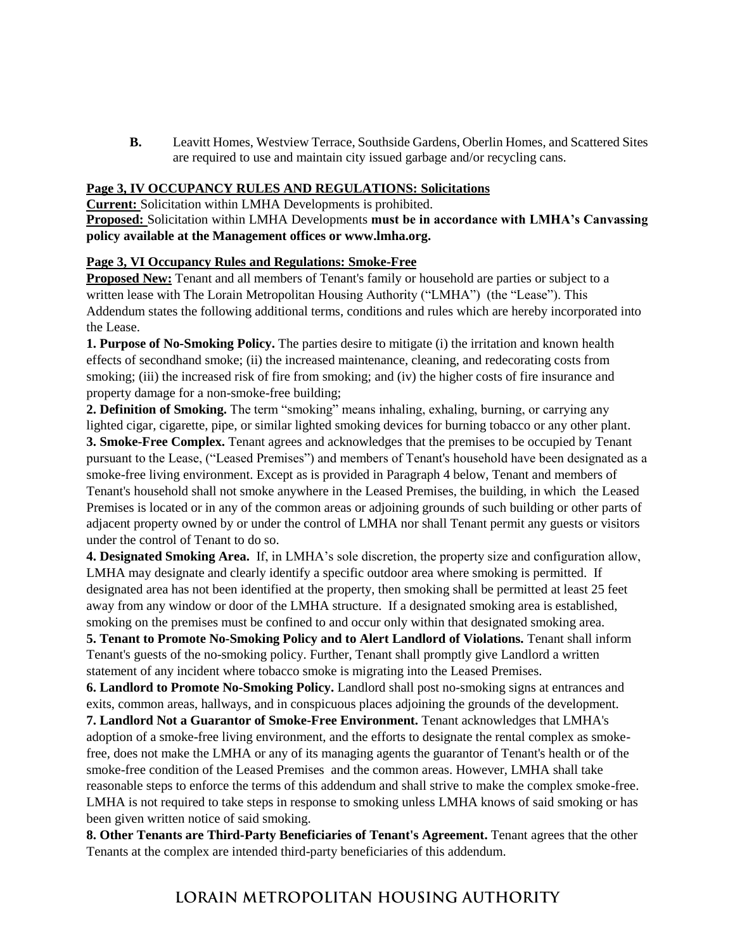**B.** Leavitt Homes, Westview Terrace, Southside Gardens, Oberlin Homes, and Scattered Sites are required to use and maintain city issued garbage and/or recycling cans.

# **Page 3, IV OCCUPANCY RULES AND REGULATIONS: Solicitations**

**Current:** Solicitation within LMHA Developments is prohibited.

**Proposed:** Solicitation within LMHA Developments **must be in accordance with LMHA's Canvassing policy available at the Management offices or www.lmha.org.**

#### **Page 3, VI Occupancy Rules and Regulations: Smoke-Free**

**Proposed New:** Tenant and all members of Tenant's family or household are parties or subject to a written lease with The Lorain Metropolitan Housing Authority ("LMHA") (the "Lease"). This Addendum states the following additional terms, conditions and rules which are hereby incorporated into the Lease.

**1. Purpose of No-Smoking Policy.** The parties desire to mitigate (i) the irritation and known health effects of secondhand smoke; (ii) the increased maintenance, cleaning, and redecorating costs from smoking; (iii) the increased risk of fire from smoking; and (iv) the higher costs of fire insurance and property damage for a non-smoke-free building;

**2. Definition of Smoking.** The term "smoking" means inhaling, exhaling, burning, or carrying any lighted cigar, cigarette, pipe, or similar lighted smoking devices for burning tobacco or any other plant. **3. Smoke-Free Complex.** Tenant agrees and acknowledges that the premises to be occupied by Tenant pursuant to the Lease, ("Leased Premises") and members of Tenant's household have been designated as a smoke-free living environment. Except as is provided in Paragraph 4 below, Tenant and members of Tenant's household shall not smoke anywhere in the Leased Premises, the building, in which the Leased Premises is located or in any of the common areas or adjoining grounds of such building or other parts of adjacent property owned by or under the control of LMHA nor shall Tenant permit any guests or visitors under the control of Tenant to do so.

**4. Designated Smoking Area.** If, in LMHA's sole discretion, the property size and configuration allow, LMHA may designate and clearly identify a specific outdoor area where smoking is permitted. If designated area has not been identified at the property, then smoking shall be permitted at least 25 feet away from any window or door of the LMHA structure. If a designated smoking area is established, smoking on the premises must be confined to and occur only within that designated smoking area.

**5. Tenant to Promote No-Smoking Policy and to Alert Landlord of Violations.** Tenant shall inform Tenant's guests of the no-smoking policy. Further, Tenant shall promptly give Landlord a written statement of any incident where tobacco smoke is migrating into the Leased Premises.

**6. Landlord to Promote No-Smoking Policy.** Landlord shall post no-smoking signs at entrances and exits, common areas, hallways, and in conspicuous places adjoining the grounds of the development.

**7. Landlord Not a Guarantor of Smoke-Free Environment.** Tenant acknowledges that LMHA's adoption of a smoke-free living environment, and the efforts to designate the rental complex as smokefree, does not make the LMHA or any of its managing agents the guarantor of Tenant's health or of the smoke-free condition of the Leased Premises and the common areas. However, LMHA shall take reasonable steps to enforce the terms of this addendum and shall strive to make the complex smoke-free. LMHA is not required to take steps in response to smoking unless LMHA knows of said smoking or has been given written notice of said smoking.

**8. Other Tenants are Third-Party Beneficiaries of Tenant's Agreement.** Tenant agrees that the other Tenants at the complex are intended third-party beneficiaries of this addendum.